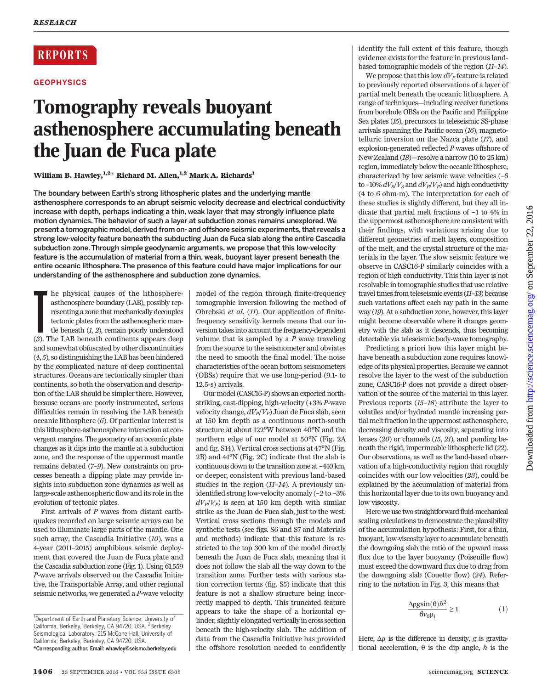# **REPORTS**

### **GEOPHYSICS**

# Tomography reveals buoyant asthenosphere accumulating beneath the Juan de Fuca plate

## William B. Hawley,  $1,2+$  Richard M. Allen,  $1,2$  Mark A. Richards<sup>1</sup>

The boundary between Earth*'*s strong lithospheric plates and the underlying mantle asthenosphere corresponds to an abrupt seismic velocity decrease and electrical conductivity increase with depth, perhaps indicating a thin, weak layer that may strongly influence plate motion dynamics. The behavior of such a layer at subduction zones remains unexplored. We present a tomographic model, derived from on- and offshore seismic experiments, that reveals a strong low-velocity feature beneath the subducting Juan de Fuca slab along the entire Cascadia subduction zone. Through simple geodynamic arguments, we propose that this low-velocity feature is the accumulation of material from a thin, weak, buoyant layer present beneath the entire oceanic lithosphere. The presence of this feature could have major implications for our understanding of the asthenosphere and subduction zone dynamics.

**The physical causes of the lithosphere-**<br>
asthenosphere boundary (LAB), possibly representing a zone that mechanically decouples<br>
tectonic plates from the asthenospheric man-<br>
the beneath (*1, 2*), remain poorly understoo he physical causes of the lithosphereasthenosphere boundary (LAB), possibly representing a zone that mechanically decouples tectonic plates from the asthenospheric mantle beneath  $(1, 2)$ , remain poorly understood and somewhat obfuscated by other discontinuities (4, 5), so distinguishing the LAB has been hindered by the complicated nature of deep continental structures. Oceans are tectonically simpler than continents, so both the observation and description of the LAB should be simpler there. However, because oceans are poorly instrumented, serious difficulties remain in resolving the LAB beneath oceanic lithosphere (6). Of particular interest is this lithosphere-asthenosphere interaction at convergent margins. The geometry of an oceanic plate changes as it dips into the mantle at a subduction zone, and the response of the uppermost mantle remains debated (7–9). New constraints on processes beneath a dipping plate may provide insights into subduction zone dynamics as well as large-scale asthenospheric flow and its role in the evolution of tectonic plates.

First arrivals of P waves from distant earthquakes recorded on large seismic arrays can be used to illuminate large parts of the mantle. One such array, the Cascadia Initiative  $(10)$ , was a 4-year (2011–2015) amphibious seismic deployment that covered the Juan de Fuca plate and the Cascadia subduction zone (Fig. 1). Using 61,559 P-wave arrivals observed on the Cascadia Initiative, the Transportable Array, and other regional seismic networks, we generated a P-wave velocity

model of the region through finite-frequency tomographic inversion following the method of Obrebski et al. (11). Our application of finitefrequency sensitivity kernels means that our inversion takesinto account the frequency-dependent volume that is sampled by a  $P$  wave traveling from the source to the seismometer and obviates the need to smooth the final model. The noise characteristics of the ocean bottom seismometers (OBSs) require that we use long-period (9.1- to 12.5-s) arrivals.

Our model (CASC16-P) shows an expected northstriking, east-dipping, high-velocity (+3% P-wave velocity change,  $dV_P/V_P$ ) Juan de Fuca slab, seen at 150 km depth as a continuous north-south structure at about 122°W between 40°N and the northern edge of our model at 50°N (Fig. 2A and fig. S14). Vertical cross sections at 47°N (Fig. 2B) and 41°N (Fig. 2C) indicate that the slab is continuous down to the transition zone at ~410 km, or deeper, consistent with previous land-based studies in the region (11–14). A previously unidentified strong low-velocity anomaly (–2 to –3%  $dV_p/V_p$ ) is seen at 150 km depth with similar strike as the Juan de Fuca slab, just to the west. Vertical cross sections through the models and synthetic tests (see figs. S6 and S7 and Materials and methods) indicate that this feature is restricted to the top 300 km of the model directly beneath the Juan de Fuca slab, meaning that it does not follow the slab all the way down to the transition zone. Further tests with various station correction terms (fig. S5) indicate that this feature is not a shallow structure being incorrectly mapped to depth. This truncated feature appears to take the shape of a horizontal cylinder, slightly elongated vertically in cross section beneath the high-velocity slab. The addition of data from the Cascadia Initiative has provided the offshore resolution needed to confidently

identify the full extent of this feature, though evidence exists for the feature in previous landbased tomographic models of the region (11–14).

We propose that this low  $dV_p$  feature is related to previously reported observations of a layer of partial melt beneath the oceanic lithosphere. A range of techniques—including receiver functions from borehole OBSs on the Pacific and Philippine Sea plates (15), precursors to teleseismic SS-phase arrivals spanning the Pacific ocean (16), magnetotelluric inversion on the Nazca plate (17), and explosion-generated reflected P waves offshore of New Zealand (18)—resolve a narrow (10 to 25 km) region, immediately below the oceanic lithosphere, characterized by low seismic wave velocities (–6 to –10%  $dV_S/V_S$  and  $dV_P/V_P$ ) and high conductivity (4 to 6 ohm·m). The interpretation for each of these studies is slightly different, but they all indicate that partial melt fractions of ~1 to 4% in the uppermost asthenosphere are consistent with their findings, with variations arising due to different geometries of melt layers, composition of the melt, and the crystal structure of the materials in the layer. The slow seismic feature we observe in CASC16-P similarly coincides with a region of high conductivity. This thin layer is not resolvable in tomographic studies that use relative travel times from teleseismic events (11–13) because such variations affect each ray path in the same way (19). At a subduction zone, however, this layer might become observable where it changes geometry with the slab as it descends, thus becoming detectable via teleseismic body-wave tomography.

Predicting a priori how this layer might behave beneath a subduction zone requires knowledge of its physical properties. Because we cannot resolve the layer to the west of the subduction zone, CASC16-P does not provide a direct observation of the source of the material in this layer. Previous reports (15–18) attribute the layer to volatiles and/or hydrated mantle increasing partial melt fraction in the uppermost asthenosphere, decreasing density and viscosity, separating into lenses (20) or channels (15, 21), and ponding beneath the rigid, impermeable lithospheric lid (22). Our observations, as well as the land-based observation of a high-conductivity region that roughly coincides with our low velocities (23), could be explained by the accumulation of material from this horizontal layer due to its own buoyancy and low viscosity.

Here we use two straightforward fluid-mechanical scaling calculations to demonstrate the plausibility of the accumulation hypothesis: First, for a thin, buoyant, low-viscosity layer to accumulate beneath the downgoing slab the ratio of the upward mass flux due to the layer buoyancy (Poiseuille flow) must exceed the downward flux due to drag from the downgoing slab (Couette flow) (24). Referring to the notation in Fig. 3, this means that

$$
\frac{\Delta \rho g \sin(\theta) h^2}{6 v_0 \mu_l} \gtrsim 1 \tag{1}
$$

Here,  $\Delta \rho$  is the difference in density, g is gravitational acceleration,  $\theta$  is the dip angle, h is the

<sup>&</sup>lt;sup>1</sup>Department of Earth and Planetary Science, University of California, Berkeley, Berkeley, CA 94720, USA. <sup>2</sup>Berkeley Seismological Laboratory, 215 McCone Hall, University of California, Berkeley, Berkeley, CA 94720, USA. \*Corresponding author. Email: whawley@seismo.berkeley.edu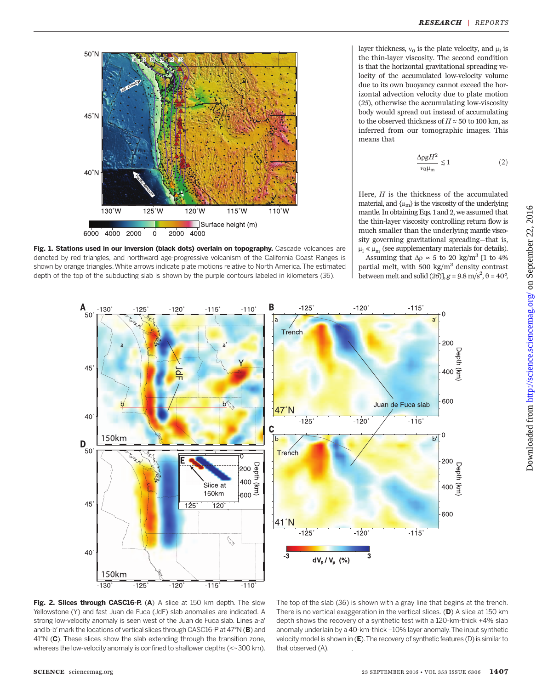

Fig. 1. Stations used in our inversion (black dots) overlain on topography. Cascade volcanoes are denoted by red triangles, and northward age-progressive volcanism of the California Coast Ranges is shown by orange triangles.White arrows indicate plate motions relative to North America. The estimated depth of the top of the subducting slab is shown by the purple contours labeled in kilometers (36).

layer thickness,  $v_0$  is the plate velocity, and  $\mu_1$  is the thin-layer viscosity. The second condition is that the horizontal gravitational spreading velocity of the accumulated low-velocity volume due to its own buoyancy cannot exceed the horizontal advection velocity due to plate motion (25), otherwise the accumulating low-viscosity body would spread out instead of accumulating to the observed thickness of  $H \approx 50$  to 100 km, as inferred from our tomographic images. This means that

$$
\frac{\Delta \rho g H^2}{v_0 \mu_{\rm m}} \lesssim 1\tag{2}
$$

Here,  $H$  is the thickness of the accumulated material, and  $\{\mu_{m}\}\$ is the viscosity of the underlying mantle. In obtaining Eqs. 1 and 2, we assumed that the thin-layer viscosity controlling return flow is much smaller than the underlying mantle viscosity governing gravitational spreading—that is,  $\upmu_{\rm l} \ll \upmu_{\rm m}$  (see supplementary materials for details). Assuming that  $\Delta \rho \approx 5$  to 20 kg/m<sup>3</sup> [1 to 4% partial melt, with 500 kg/ $m<sup>3</sup>$  density contrast between melt and solid  $(26)$ ],  $g = 9.8$  m/s<sup>2</sup>,  $\theta = 40^{\circ}$ ,



that observed (A).

The top of the slab (36) is shown with a gray line that begins at the trench. There is no vertical exaggeration in the vertical slices.  $(D)$  A slice at 150 km depth shows the recovery of a synthetic test with a 120-km-thick +4% slab anomaly underlain by a 40-km-thick –10% layer anomaly.The input synthetic

velocity model is shown in  $(E)$ . The recovery of synthetic features (D) is similar to

Fig. 2. Slices through CASC16-P. (A) A slice at 150 km depth. The slow Yellowstone (Y) and fast Juan de Fuca (JdF) slab anomalies are indicated. A strong low-velocity anomaly is seen west of the Juan de Fuca slab. Lines a-a′ and b-b' mark the locations of vertical slices through CASC16-P at 47°N (B) and 41°N (C). These slices show the slab extending through the transition zone, whereas the low-velocity anomaly is confined to shallower depths (<~300 km).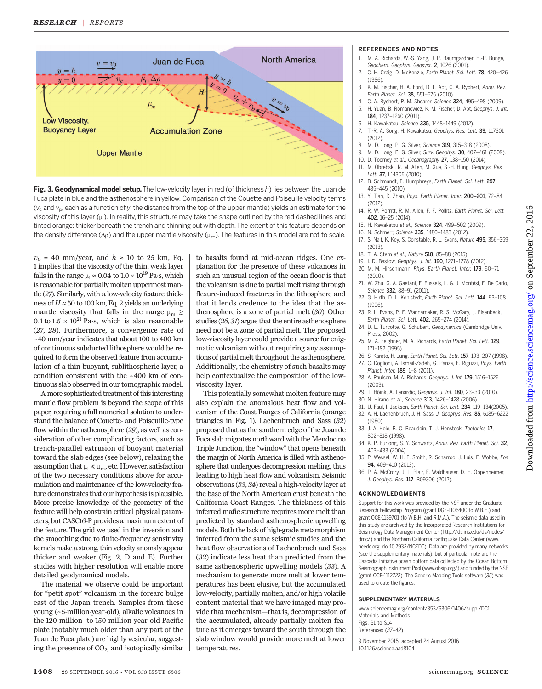

Fig. 3. Geodynamical model setup. The low-velocity layer in red (of thickness h) lies between the Juan de Fuca plate in blue and the asthenosphere in yellow. Comparison of the Couette and Poiseuille velocity terms  $(v_c$  and  $v_p$ , each as a function of y, the distance from the top of the upper mantle) yields an estimate for the viscosity of this layer ( $\mu$ ). In reality, this structure may take the shape outlined by the red dashed lines and tinted orange: thicker beneath the trench and thinning out with depth.The extent of this feature depends on the density difference ( $\Delta p$ ) and the upper mantle viscosity ( $\mu_{m}$ ). The features in this model are not to scale.

 $v_0$  = 40 mm/year, and  $h \approx 10$  to 25 km, Eq. 1 implies that the viscosity of the thin, weak layer falls in the range  $\mu$ <sub>1</sub> ≈ 0.04 to 1.0 × 10<sup>19</sup> Pa·s, which is reasonable for partially molten uppermost mantle (27). Similarly, with a low-velocity feature thickness of  $H \approx 50$  to 100 km, Eq. 2 yields an underlying mantle viscosity that falls in the range  $\mu_m \gtrsim$  $0.1\,{\rm to}\,1.5\times 10^{21}\,{\rm Pa\cdot s},$  which is also reasonable (27, 28). Furthermore, a convergence rate of ~40 mm/year indicates that about 100 to 400 km of continuous subducted lithosphere would be required to form the observed feature from accumulation of a thin buoyant, sublithospheric layer, a condition consistent with the ~400 km of continuous slab observed in our tomographic model.

A more sophisticated treatment of thisinteresting mantle flow problem is beyond the scope of this paper, requiring a full numerical solution to understand the balance of Couette- and Poiseuille-type flow within the asthenosphere (29), as well as consideration of other complicating factors, such as trench-parallel extrusion of buoyant material toward the slab edges (see below), relaxing the assumption that  $\mu_1 \ll \mu_m$ , etc. However, satisfaction of the two necessary conditions above for accumulation and maintenance of the low-velocity feature demonstrates that our hypothesis is plausible. More precise knowledge of the geometry of the feature will help constrain critical physical parameters, but CASC16-P provides a maximum extent of the feature. The grid we used in the inversion and the smoothing due to finite-frequency sensitivity kernels make a strong, thin velocity anomaly appear thicker and weaker (Fig. 2, D and E). Further studies with higher resolution will enable more detailed geodynamical models.

The material we observe could be important for "petit spot" volcanism in the forearc bulge east of the Japan trench. Samples from these young (~5-million-year-old), alkalic volcanoes in the 120-million- to 150-million-year-old Pacific plate (notably much older than any part of the Juan de Fuca plate) are highly vesicular, suggesting the presence of  $CO<sub>2</sub>$ , and isotopically similar

to basalts found at mid-ocean ridges. One explanation for the presence of these volcanoes in such an unusual region of the ocean floor is that the volcanism is due to partial melt rising through flexure-induced fractures in the lithosphere and that it lends credence to the idea that the asthenosphere is a zone of partial melt (30). Other studies (26, 31) argue that the entire asthenosphere need not be a zone of partial melt. The proposed low-viscosity layer could provide a source for enigmatic volcanism without requiring any assumptions of partial melt throughout the asthenosphere. Additionally, the chemistry of such basalts may help contextualize the composition of the lowviscosity layer.

This potentially somewhat molten feature may also explain the anomalous heat flow and volcanism of the Coast Ranges of California (orange triangles in Fig. 1). Lachenbruch and Sass (32) proposed that as the southern edge of the Juan de Fuca slab migrates northward with the Mendocino Triple Junction, the "window"that opens beneath the margin of North America is filled with asthenosphere that undergoes decompression melting, thus leading to high heat flow and volcanism. Seismic observations (33, 34) reveal a high-velocity layer at the base of the North American crust beneath the California Coast Ranges. The thickness of this inferred mafic structure requires more melt than predicted by standard asthenospheric upwelling models. Both the lack of high-grade metamorphism inferred from the same seismic studies and the heat flow observations of Lachenbruch and Sass (32) indicate less heat than predicted from the same asthenospheric upwelling models (33). A mechanism to generate more melt at lower temperatures has been elusive, but the accumulated low-velocity, partially molten, and/or high volatile content material that we have imaged may provide that mechanism—that is, decompression of the accumulated, already partially molten feature as it emerges toward the south through the slab window would provide more melt at lower temperatures.

#### REFERENCES AND NOTES

- 1. M. A. Richards, W.-S. Yang, J. R. Baumgardner, H.-P. Bunge, Geochem. Geophys. Geosyst. 2, 1026 (2001).
- 2. C. H. Craig, D. McKenzie, Earth Planet. Sci. Lett. 78, 420–426 (1986).
- K. M. Fischer, H. A. Ford, D. L. Abt, C. A. Rychert, Annu. Rev. Earth Planet. Sci. 38, 551–575 (2010).
- 4. C. A. Rychert, P. M. Shearer, Science 324, 495–498 (2009).
- 5. H. Yuan, B. Romanowicz, K. M. Fischer, D. Abt, Geophys. J. Int. 184, 1237–1260 (2011).
- H. Kawakatsu, Science 335, 1448-1449 (2012).
- 7. T.-R. A. Song, H. Kawakatsu, Geophys. Res. Lett. 39, L17301 (2012).
- 8. M. D. Long, P. G. Silver, Science 319, 315–318 (2008).
- 9. M. D. Long, P. G. Silver, Surv. Geophys. 30, 407–461 (2009).
- 10. D. Toomey et al., Oceanography 27, 138–150 (2014).
- 11. M. Obrebski, R. M. Allen, M. Xue, S.-H. Hung, Geophys. Res. Lett. 37, L14305 (2010).
- 12. B. Schmandt, E. Humphreys, Earth Planet. Sci. Lett. 297, 435–445 (2010).
- 13. Y. Tian, D. Zhao, Phys. Earth Planet. Inter. 200*–*201, 72–84 (2012).
- 14. R. W. Porritt, R. M. Allen, F. F. Pollitz, Earth Planet. Sci. Lett. 402, 16–25 (2014).
- 15. H. Kawakatsu et al., Science 324, 499-502 (2009).
- 16. N. Schmerr, Science 335, 1480–1483 (2012).
- 17. S. Naif, K. Key, S. Constable, R. L. Evans, Nature 495, 356–359 (2013).
- 18. T. A. Stern et al., Nature 518, 85–88 (2015).
- 19. I. D. Bastow, Geophys. J. Int. 190, 1271–1278 (2012).
- 20. M. M. Hirschmann, Phys. Earth Planet. Inter. 179, 60–71 (2010).
- 21. W. Zhu, G. A. Gaetani, F. Fusseis, L. G. J. Montési, F. De Carlo, Science 332, 88–91 (2011).
- 22. G. Hirth, D. L. Kohlstedt, Earth Planet. Sci. Lett. 144, 93–108 (1996).
- 23. R. L. Evans, P. E. Wannamaker, R. S. McGary, J. Elsenbeck, Earth Planet. Sci. Lett. 402, 265–274 (2014).
- 24. D. L. Turcotte, G. Schubert, Geodynamics (Cambridge Univ. Press, 2002).
- 25. M. A. Feighner, M. A. Richards, Earth Planet. Sci. Lett. 129, 171–182 (1995).
- 26. S. Karato, H. Jung, Earth Planet. Sci. Lett. 157, 193–207 (1998). 27. C. Doglioni, A. Ismail-Zadeh, G. Panza, F. Riguzzi, Phys. Earth Planet. Inter. 189, 1–8 (2011).
- 28. A. Paulson, M. A. Richards, Geophys. J. Int. 179, 1516–1526 (2009).
- 29. T. Höink, A. Lenardic, Geophys. J. Int. 180, 23–33 (2010).
- 30. N. Hirano et al., Science 313, 1426–1428 (2006).
- 31. U. Faul, I. Jackson, Earth Planet. Sci. Lett. 234, 119–134(2005).
- 32. A. H. Lachenbruch, J. H. Sass, J. Geophys. Res. 85, 6185–6222 (1980).
- 33. J. A. Hole, B. C. Beaudoin, T. J. Henstock, Tectonics 17, 802–818 (1998).
- 34. K. P. Furlong, S. Y. Schwartz, Annu. Rev. Earth Planet. Sci. 32, 403–433 (2004).
- 35. P. Wessel, W. H. F. Smith, R. Scharroo, J. Luis, F. Wobbe, Eos 94, 409–410 (2013).
- 36. P. A. McCrory, J. L. Blair, F. Waldhauser, D. H. Oppenheimer, J. Geophys. Res. 117, B09306 (2012).

#### ACKNOWLEDGMENTS

Support for this work was provided by the NSF under the Graduate Research Fellowship Program (grant DGE-1106400 to W.B.H.) and grant OCE-1139701 (to W.B.H. and R.M.A.). The seismic data used in this study are archived by the Incorporated Research Institutions for Seismology Data Management Center (http://ds.iris.edu/ds/nodes/ dmc/) and the Northern California Earthquake Data Center (www. ncedc.org; doi:10.7932/NCEDC). Data are provided by many networks (see the supplementary materials), but of particular note are the Cascadia Initiative ocean bottom data collected by the Ocean Bottom Seismograph Instrument Pool (www.obsip.org/) and funded by the NSF (grant OCE-1112722). The Generic Mapping Tools software (35) was used to create the figures.

#### SUPPLEMENTARY MATERIALS

www.sciencemag.org/content/353/6306/1406/suppl/DC1 Materials and Methods Figs. S1 to S14 References (37–42) 9 November 2015; accepted 24 August 2016

10.1126/science.aad8104